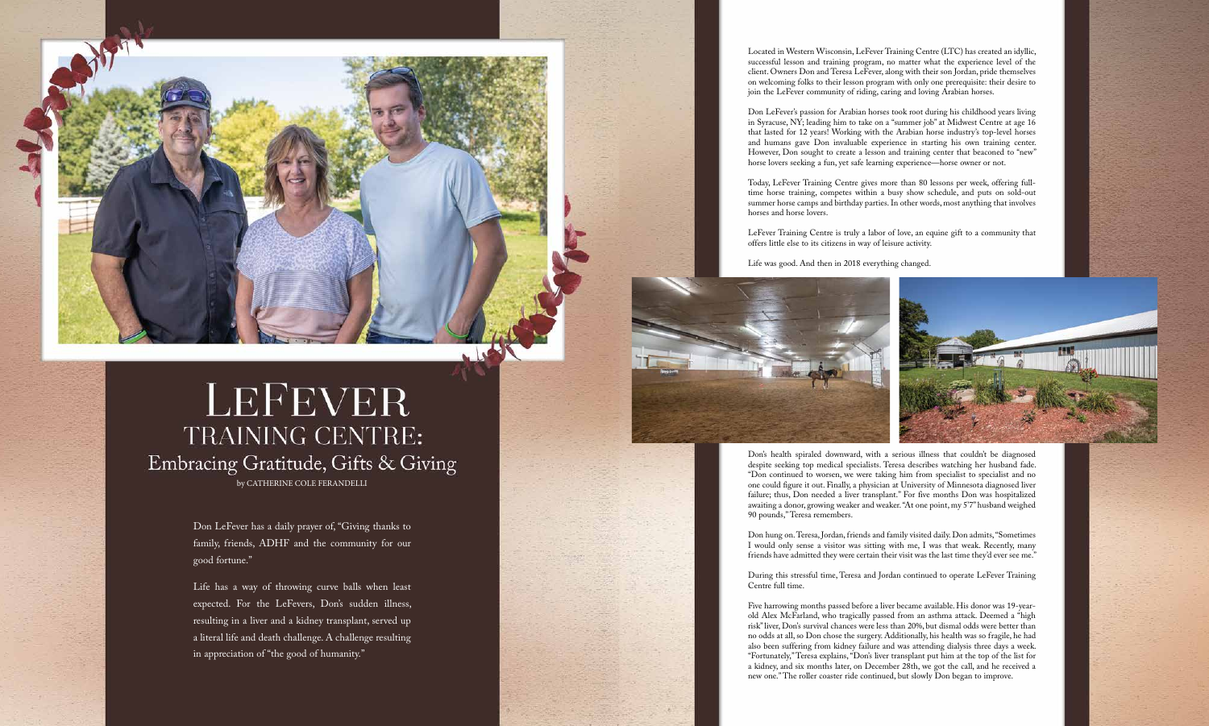Arabian Horse Times | **8** | Volume 52, No. 2 Arabian Horse Times | **9** | Volume 52, No. 2

Located in Western Wisconsin, LeFever Training Centre (LTC) has created an idyllic, successful lesson and training program, no matter what the experience level of the client. Owners Don and Teresa LeFever, along with their son Jordan, pride themselves on welcoming folks to their lesson program with only one prerequisite: their desire to join the LeFever community of riding, caring and loving Arabian horses.

Don LeFever's passion for Arabian horses took root during his childhood years living in Syracuse, NY; leading him to take on a "summer job" at Midwest Centre at age 16 that lasted for 12 years! Working with the Arabian horse industry's top-level horses and humans gave Don invaluable experience in starting his own training center. However, Don sought to create a lesson and training center that beaconed to "new" horse lovers seeking a fun, yet safe learning experience—horse owner or not.

Today, LeFever Training Centre gives more than 80 lessons per week, offering fulltime horse training, competes within a busy show schedule, and puts on sold-out summer horse camps and birthday parties. In other words, most anything that involves horses and horse lovers.

LeFever Training Centre is truly a labor of love, an equine gift to a community that offers little else to its citizens in way of leisure activity.

Life was good. And then in 2018 everything changed.



Don's health spiraled downward, with a serious illness that couldn't be diagnosed despite seeking top medical specialists. Teresa describes watching her husband fade. "Don continued to worsen, we were taking him from specialist to specialist and no one could figure it out. Finally, a physician at University of Minnesota diagnosed liver failure; thus, Don needed a liver transplant." For five months Don was hospitalized awaiting a donor, growing weaker and weaker. "At one point, my 5'7" husband weighed 90 pounds," Teresa remembers.

Don hung on. Teresa, Jordan, friends and family visited daily. Don admits, "Sometimes I would only sense a visitor was sitting with me, I was that weak. Recently, many friends have admitted they were certain their visit was the last time they'd ever see me."

During this stressful time, Teresa and Jordan continued to operate LeFever Training Centre full time.

Five harrowing months passed before a liver became available. His donor was 19-yearold Alex McFarland, who tragically passed from an asthma attack. Deemed a "high risk" liver, Don's survival chances were less than 20%, but dismal odds were better than no odds at all, so Don chose the surgery. Additionally, his health was so fragile, he had also been suffering from kidney failure and was attending dialysis three days a week. "Fortunately," Teresa explains, "Don's liver transplant put him at the top of the list for a kidney, and six months later, on December 28th, we got the call, and he received a new one." The roller coaster ride continued, but slowly Don began to improve.

Don LeFever has a daily prayer of, "Giving thanks to family, friends, ADHF and the community for our good fortune."

Life has a way of throwing curve balls when least expected. For the LeFevers, Don's sudden illness, resulting in a liver and a kidney transplant, served up a literal life and death challenge. A challenge resulting in appreciation of "the good of humanity."